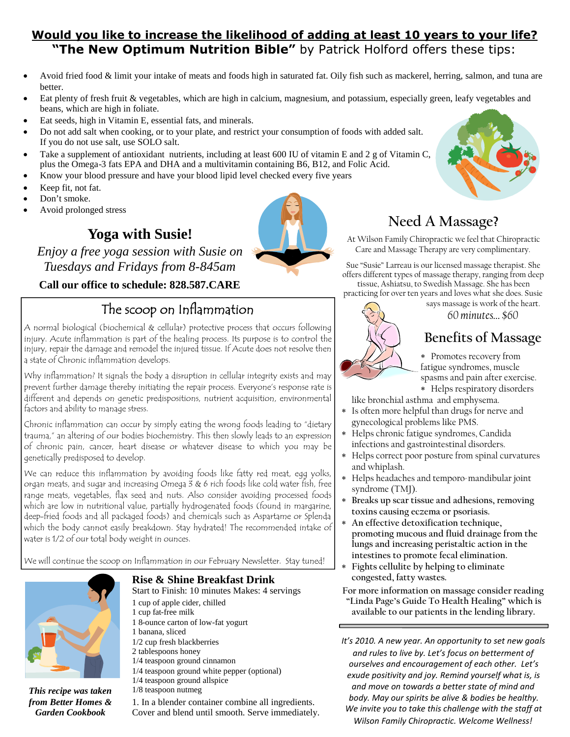### **Would you like to increase the likelihood of adding at least 10 years to your life? "The New Optimum Nutrition Bible"** by Patrick Holford offers these tips:

- Avoid fried food & limit your intake of meats and foods high in saturated fat. Oily fish such as mackerel, herring, salmon, and tuna are better.
- Eat plenty of fresh fruit & vegetables, which are high in calcium, magnesium, and potassium, especially green, leafy vegetables and beans, which are high in foliate.
- Eat seeds, high in Vitamin E, essential fats, and minerals.
- Do not add salt when cooking, or to your plate, and restrict your consumption of foods with added salt. If you do not use salt, use SOLO salt.
- Take a supplement of antioxidant nutrients, including at least 600 IU of vitamin E and 2 g of Vitamin C, plus the Omega-3 fats EPA and DHA and a multivitamin containing B6, B12, and Folic Acid.
- Know your blood pressure and have your blood lipid level checked every five years
- Keep fit, not fat.
- Don't smoke.
- Avoid prolonged stress

### **Yoga with Susie!**

*Enjoy a free yoga session with Susie on Tuesdays and Fridays from 8-845am*

#### **Call our office to schedule: 828.587.CARE**

## The scoop on Inflammation

A normal biological (biochemical & cellular) protective process that occurs following injury. Acute inflammation is part of the healing process. Its purpose is to control the injury, repair the damage and remodel the injured tissue. If Acute does not resolve then a state of Chronic inflammation develops.

Why inflammation? It signals the body a disruption in cellular integrity exists and may prevent further damage thereby initiating the repair process. Everyone's response rate is different and depends on genetic predispositions, nutrient acquisition, environmental factors and ability to manage stress.

Chronic inflammation can occur by simply eating the wrong foods leading to "dietary trauma," an altering of our bodies biochemistry. This then slowly leads to an expression of chronic pain, cancer, heart disease or whatever disease to which you may be genetically predisposed to develop.

We can reduce this inflammation by avoiding foods like fatty red meat, egg yolks, organ meats, and sugar and increasing Omega 3 & 6 rich foods like cold water fish, free range meats, vegetables, flax seed and nuts. Also consider avoiding processed foods which are low in nutritional value, partially hydrogenated foods (found in margarine, deep-fried foods and all packaged foods) and chemicals such as Aspartame or Splenda which the body cannot easily breakdown. Stay hydrated! The recommended intake of water is 1/2 of our total body weight in ounces.

We will continue the scoop on Inflammation in our February Newsletter. Stay tuned!



*This recipe was taken from Better Homes & Garden Cookbook*

#### **Rise & Shine Breakfast Drink**

Start to Finish: 10 minutes Makes: 4 servings

- 1 cup of apple cider, chilled
- 1 cup fat-free milk 1 8-ounce carton of low-fat yogurt
- 1 banana, sliced
- 1/2 cup fresh blackberries
- 2 tablespoons honey
- 1/4 teaspoon ground cinnamon
- 1/4 teaspoon ground white pepper (optional)
- 1/4 teaspoon ground allspice
- 1/8 teaspoon nutmeg

1. In a blender container combine all ingredients. Cover and blend until smooth. Serve immediately.

# **Need A Massage?**

At Wilson Family Chiropractic we feel that Chiropractic Care and Massage Therapy are very complimentary.

Sue "Susie" Larreau is our licensed massage therapist. She offers different types of massage therapy, ranging from deep tissue, Ashiatsu, to Swedish Massage. She has been practicing for over ten years and loves what she does. Susie

says massage is work of the heart.

*60 minutes… \$60*



Promotes recovery from fatigue syndromes, muscle spasms and pain after exercise. Helps respiratory disorders

like bronchial asthma and emphysema.

- Is often more helpful than drugs for nerve and gynecological problems like PMS.
- Helps chronic fatigue syndromes, Candida infections and gastrointestinal disorders.
- Helps correct poor posture from spinal curvatures and whiplash.
- Helps headaches and temporo-mandibular joint syndrome (TMJ).
- **Breaks up scar tissue and adhesions, removing toxins causing eczema or psoriasis.**
- **An effective detoxification technique, promoting mucous and fluid drainage from the lungs and increasing peristaltic action in the intestines to promote fecal elimination.**
- **Fights cellulite by helping to eliminate congested, fatty wastes.**
- **For more information on massage consider reading "Linda Page's Guide To Health Healing" which is available to our patients in the lending library.**

*It's 2010. A new year. An opportunity to set new goals and rules to live by. Let's focus on betterment of ourselves and encouragement of each other. Let's exude positivity and joy. Remind yourself what is, is and move on towards a better state of mind and body. May our spirits be alive & bodies be healthy. We invite you to take this challenge with the staff at Wilson Family Chiropractic. Welcome Wellness!*